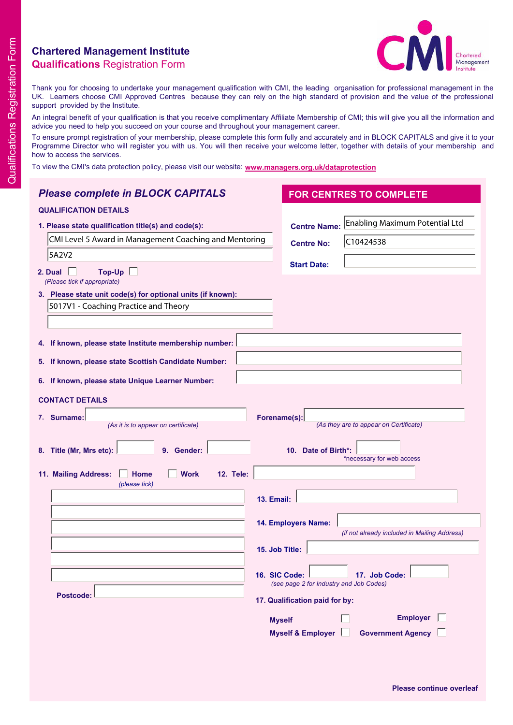## **Chartered Management Institute Qualifications** Registration Form



Thank you for choosing to undertake your management qualification with CMI, the leading organisation for professional management in the UK. Learners choose CMI Approved Centres because they can rely on the high standard of provision and the value of the professional support provided by the Institute.

An integral benefit of your qualification is that you receive complimentary Affiliate Membership of CMI; this will give you all the information and advice you need to help you succeed on your course and throughout your management career.

To ensure prompt registration of your membership, please complete this form fully and accurately and in BLOCK CAPITALS and give it to your Programme Director who will register you with us. You will then receive your welcome letter, together with details of your membership and how to access the services.

To view the CMI's data protection policy, please visit our website: **www.managers.org.uk/dataprotection**

| <b>Please complete in BLOCK CAPITALS</b>                                                  | <b>FOR CENTRES TO COMPLETE</b>                                            |  |  |  |  |  |  |  |
|-------------------------------------------------------------------------------------------|---------------------------------------------------------------------------|--|--|--|--|--|--|--|
| <b>QUALIFICATION DETAILS</b>                                                              |                                                                           |  |  |  |  |  |  |  |
| 1. Please state qualification title(s) and code(s):                                       | Enabling Maximum Potential Ltd<br><b>Centre Name:</b>                     |  |  |  |  |  |  |  |
| CMI Level 5 Award in Management Coaching and Mentoring                                    | C10424538<br><b>Centre No:</b>                                            |  |  |  |  |  |  |  |
| 5A2V2                                                                                     |                                                                           |  |  |  |  |  |  |  |
| $Top$ -Up $\Box$<br>2. Dual<br>(Please tick if appropriate)                               | <b>Start Date:</b>                                                        |  |  |  |  |  |  |  |
| 3. Please state unit code(s) for optional units (if known):                               |                                                                           |  |  |  |  |  |  |  |
| 5017V1 - Coaching Practice and Theory                                                     |                                                                           |  |  |  |  |  |  |  |
|                                                                                           |                                                                           |  |  |  |  |  |  |  |
| 4. If known, please state Institute membership number:                                    |                                                                           |  |  |  |  |  |  |  |
| 5. If known, please state Scottish Candidate Number:                                      |                                                                           |  |  |  |  |  |  |  |
| 6. If known, please state Unique Learner Number:                                          |                                                                           |  |  |  |  |  |  |  |
| <b>CONTACT DETAILS</b>                                                                    |                                                                           |  |  |  |  |  |  |  |
| 7. Surname:                                                                               | Forename(s):                                                              |  |  |  |  |  |  |  |
| (As it is to appear on certificate)                                                       | (As they are to appear on Certificate)                                    |  |  |  |  |  |  |  |
| 8. Title (Mr, Mrs etc):<br>9. Gender:<br>10. Date of Birth*:<br>*necessary for web access |                                                                           |  |  |  |  |  |  |  |
| 11. Mailing Address:<br>Home<br><b>Work</b><br><b>12. Tele:</b><br>(please tick)          |                                                                           |  |  |  |  |  |  |  |
|                                                                                           | <b>13. Email:</b>                                                         |  |  |  |  |  |  |  |
|                                                                                           |                                                                           |  |  |  |  |  |  |  |
|                                                                                           | 14. Employers Name:<br>(if not already included in Mailing Address)       |  |  |  |  |  |  |  |
|                                                                                           | 15. Job Title:                                                            |  |  |  |  |  |  |  |
|                                                                                           |                                                                           |  |  |  |  |  |  |  |
|                                                                                           | 16. SIC Code:<br>17. Job Code:<br>(see page 2 for Industry and Job Codes) |  |  |  |  |  |  |  |
| Postcode:                                                                                 | 17. Qualification paid for by:                                            |  |  |  |  |  |  |  |
|                                                                                           | <b>Employer</b><br><b>Myself</b>                                          |  |  |  |  |  |  |  |
|                                                                                           | <b>Myself &amp; Employer</b><br><b>Government Agency</b>                  |  |  |  |  |  |  |  |
|                                                                                           |                                                                           |  |  |  |  |  |  |  |